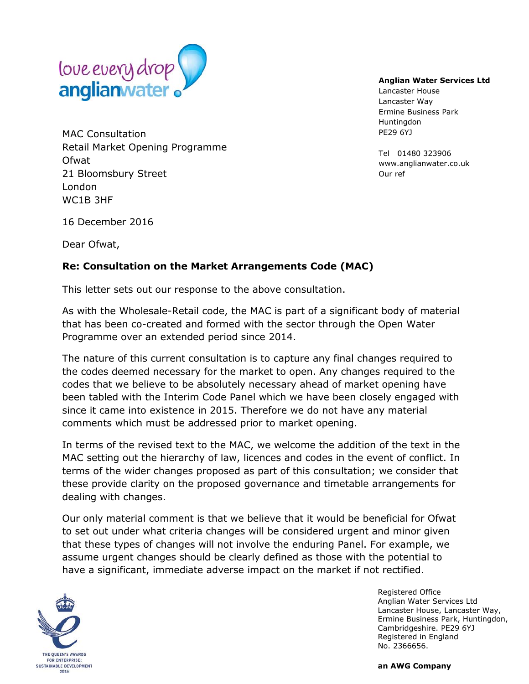

MAC Consultation Retail Market Opening Programme Ofwat 21 Bloomsbury Street London WC1B 3HF

## **Anglian Water Services Ltd**

Lancaster House Lancaster Way Ermine Business Park Huntingdon PE29 6YJ

Tel 01480 323906 www.anglianwater.co.uk Our ref

16 December 2016

Dear Ofwat,

## **Re: Consultation on the Market Arrangements Code (MAC)**

This letter sets out our response to the above consultation.

As with the Wholesale-Retail code, the MAC is part of a significant body of material that has been co-created and formed with the sector through the Open Water Programme over an extended period since 2014.

The nature of this current consultation is to capture any final changes required to the codes deemed necessary for the market to open. Any changes required to the codes that we believe to be absolutely necessary ahead of market opening have been tabled with the Interim Code Panel which we have been closely engaged with since it came into existence in 2015. Therefore we do not have any material comments which must be addressed prior to market opening.

In terms of the revised text to the MAC, we welcome the addition of the text in the MAC setting out the hierarchy of law, licences and codes in the event of conflict. In terms of the wider changes proposed as part of this consultation; we consider that these provide clarity on the proposed governance and timetable arrangements for dealing with changes.

Our only material comment is that we believe that it would be beneficial for Ofwat to set out under what criteria changes will be considered urgent and minor given that these types of changes will not involve the enduring Panel. For example, we assume urgent changes should be clearly defined as those with the potential to have a significant, immediate adverse impact on the market if not rectified.



Registered Office Anglian Water Services Ltd Lancaster House, Lancaster Way, Ermine Business Park, Huntingdon, Cambridgeshire. PE29 6YJ Registered in England No. 2366656.

**an AWG Company**